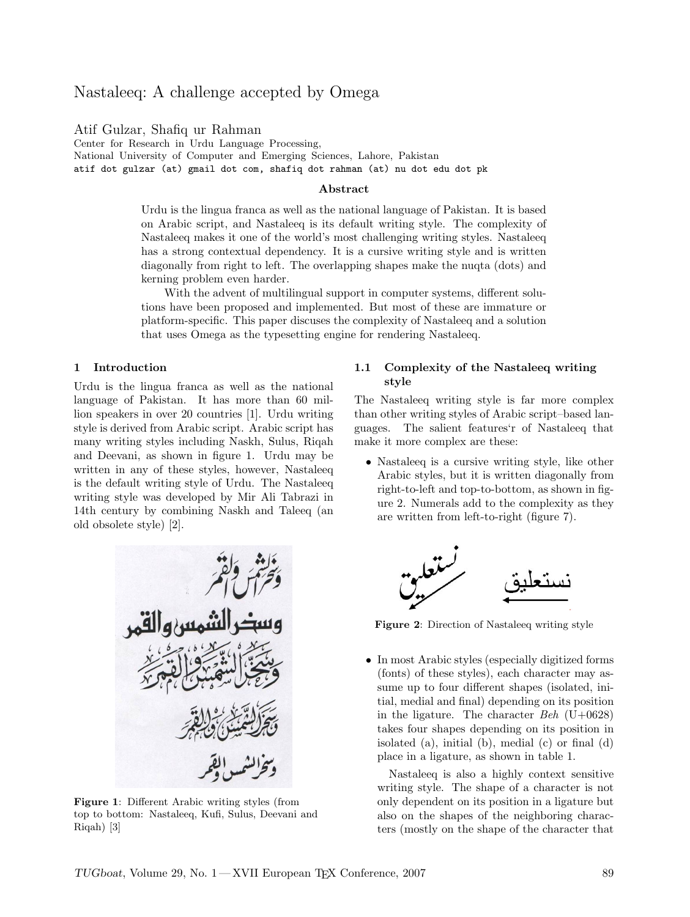# Nastaleeq: A challenge accepted by Omega

Atif Gulzar, Shafiq ur Rahman

Center for Research in Urdu Language Processing, National University of Computer and Emerging Sciences, Lahore, Pakistan atif dot gulzar (at) gmail dot com, shafiq dot rahman (at) nu dot edu dot pk

## Abstract

Urdu is the lingua franca as well as the national language of Pakistan. It is based on Arabic script, and Nastaleeq is its default writing style. The complexity of Nastaleeq makes it one of the world's most challenging writing styles. Nastaleeq has a strong contextual dependency. It is a cursive writing style and is written diagonally from right to left. The overlapping shapes make the nuqta (dots) and kerning problem even harder.

With the advent of multilingual support in computer systems, different solutions have been proposed and implemented. But most of these are immature or platform-specific. This paper discuses the complexity of Nastaleeq and a solution that uses Omega as the typesetting engine for rendering Nastaleeq.

## 1 Introduction

Urdu is the lingua franca as well as the national language of Pakistan. It has more than 60 million speakers in over 20 countries [1]. Urdu writing style is derived from Arabic script. Arabic script has many writing styles including Naskh, Sulus, Riqah and Deevani, as shown in figure 1. Urdu may be written in any of these styles, however, Nastaleeq is the default writing style of Urdu. The Nastaleeq writing style was developed by Mir Ali Tabrazi in 14th century by combining Naskh and Taleeq (an old obsolete style) [2].



Figure 1: Different Arabic writing styles (from top to bottom: Nastaleeq, Kufi, Sulus, Deevani and Riqah) [3]

## 1.1 Complexity of the Nastaleeq writing style

The Nastaleeq writing style is far more complex than other writing styles of Arabic script–based languages. The salient features'r of Nastaleeq that make it more complex are these:

• Nastaleeq is a cursive writing style, like other Arabic styles, but it is written diagonally from right-to-left and top-to-bottom, as shown in figure 2. Numerals add to the complexity as they are written from left-to-right (figure 7).



Figure 2: Direction of Nastaleeq writing style

• In most Arabic styles (especially digitized forms (fonts) of these styles), each character may assume up to four different shapes (isolated, initial, medial and final) depending on its position in the ligature. The character  $Beh$  (U+0628) takes four shapes depending on its position in isolated (a), initial (b), medial (c) or final (d) place in a ligature, as shown in table 1.

Nastaleeq is also a highly context sensitive writing style. The shape of a character is not only dependent on its position in a ligature but also on the shapes of the neighboring characters (mostly on the shape of the character that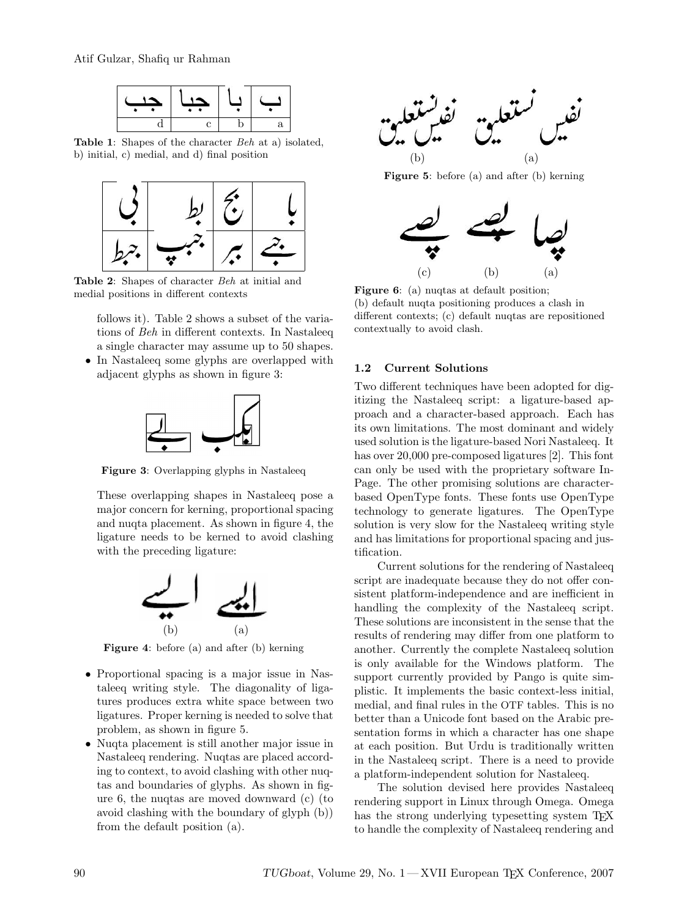Atif Gulzar, Shafiq ur Rahman



Table 1: Shapes of the character Beh at a) isolated, b) initial, c) medial, and d) final position



Table 2: Shapes of character Beh at initial and medial positions in different contexts

follows it). Table 2 shows a subset of the variations of Beh in different contexts. In Nastaleeq a single character may assume up to 50 shapes.

• In Nastaleeq some glyphs are overlapped with adjacent glyphs as shown in figure 3:



Figure 3: Overlapping glyphs in Nastaleeq

These overlapping shapes in Nastaleeq pose a major concern for kerning, proportional spacing and nuqta placement. As shown in figure 4, the ligature needs to be kerned to avoid clashing with the preceding ligature:



Figure 4: before (a) and after (b) kerning

- Proportional spacing is a major issue in Nastaleeq writing style. The diagonality of ligatures produces extra white space between two ligatures. Proper kerning is needed to solve that problem, as shown in figure 5.
- Nuqta placement is still another major issue in Nastaleeq rendering. Nuqtas are placed according to context, to avoid clashing with other nuqtas and boundaries of glyphs. As shown in figure 6, the nuqtas are moved downward (c) (to avoid clashing with the boundary of glyph (b)) from the default position (a).



Figure 5: before (a) and after (b) kerning



Figure 6: (a) nuqtas at default position; (b) default nuqta positioning produces a clash in different contexts; (c) default nuqtas are repositioned contextually to avoid clash.

## 1.2 Current Solutions

Two different techniques have been adopted for digitizing the Nastaleeq script: a ligature-based approach and a character-based approach. Each has its own limitations. The most dominant and widely used solution is the ligature-based Nori Nastaleeq. It has over 20,000 pre-composed ligatures [2]. This font can only be used with the proprietary software In-Page. The other promising solutions are characterbased OpenType fonts. These fonts use OpenType technology to generate ligatures. The OpenType solution is very slow for the Nastaleeq writing style and has limitations for proportional spacing and justification.

Current solutions for the rendering of Nastaleeq script are inadequate because they do not offer consistent platform-independence and are inefficient in handling the complexity of the Nastaleeq script. These solutions are inconsistent in the sense that the results of rendering may differ from one platform to another. Currently the complete Nastaleeq solution is only available for the Windows platform. The support currently provided by Pango is quite simplistic. It implements the basic context-less initial, medial, and final rules in the OTF tables. This is no better than a Unicode font based on the Arabic presentation forms in which a character has one shape at each position. But Urdu is traditionally written in the Nastaleeq script. There is a need to provide a platform-independent solution for Nastaleeq.

The solution devised here provides Nastaleeq rendering support in Linux through Omega. Omega has the strong underlying typesetting system T<sub>E</sub>X to handle the complexity of Nastaleeq rendering and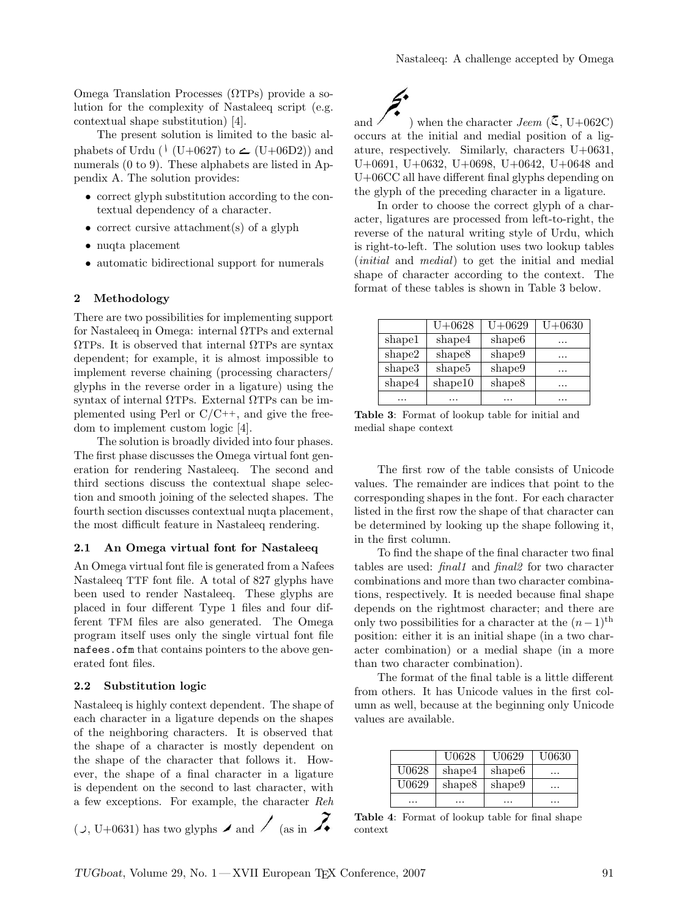Omega Translation Processes (ΩTPs) provide a solution for the complexity of Nastaleeq script (e.g. contextual shape substitution) [4].

The present solution is limited to the basic alphabets of Urdu ( $\binom{1}{\text{U}+0627}$  to  $\leftarrow$  (U+06D2)) and numerals  $(0 to 9)$ . These alphabets are listed in Appendix A. The solution provides:

- correct glyph substitution according to the contextual dependency of a character.
- correct cursive attachment(s) of a glyph
- nuqta placement
- automatic bidirectional support for numerals

#### 2 Methodology

There are two possibilities for implementing support for Nastaleeq in Omega: internal ΩTPs and external ΩTPs. It is observed that internal ΩTPs are syntax dependent; for example, it is almost impossible to implement reverse chaining (processing characters/ glyphs in the reverse order in a ligature) using the syntax of internal ΩTPs. External ΩTPs can be implemented using Perl or  $C/C++$ , and give the freedom to implement custom logic [4].

The solution is broadly divided into four phases. The first phase discusses the Omega virtual font generation for rendering Nastaleeq. The second and third sections discuss the contextual shape selection and smooth joining of the selected shapes. The fourth section discusses contextual nuqta placement, the most difficult feature in Nastaleeq rendering.

#### 2.1 An Omega virtual font for Nastaleeq

An Omega virtual font file is generated from a Nafees Nastaleeq TTF font file. A total of 827 glyphs have been used to render Nastaleeq. These glyphs are placed in four different Type 1 files and four different TFM files are also generated. The Omega program itself uses only the single virtual font file nafees.ofm that contains pointers to the above generated font files.

#### 2.2 Substitution logic

Nastaleeq is highly context dependent. The shape of each character in a ligature depends on the shapes of the neighboring characters. It is observed that the shape of a character is mostly dependent on the shape of the character that follows it. However, the shape of a final character in a ligature is dependent on the second to last character, with a few exceptions. For example, the character Reh

$$
(\cup, U+0631)
$$
 has two glyphs  $\rightarrow$  and  $\rightarrow$  (as in  $\rightarrow$ 

) when the character Jeem ( $\mathcal{E}$ , U+062C) occurs at the initial and medial position of a ligature, respectively. Similarly, characters U+0631, U+0691, U+0632, U+0698, U+0642, U+0648 and U+06CC all have different final glyphs depending on the glyph of the preceding character in a ligature.

In order to choose the correct glyph of a character, ligatures are processed from left-to-right, the reverse of the natural writing style of Urdu, which is right-to-left. The solution uses two lookup tables (initial and medial) to get the initial and medial shape of character according to the context. The format of these tables is shown in Table 3 below.

|        | $U + 0628$         | $U + 0629$         | $U + 0630$           |
|--------|--------------------|--------------------|----------------------|
| shape1 | shape4             | shape <sub>6</sub> | .                    |
| shape2 | shape <sup>8</sup> | shape9             | $\ddot{\phantom{0}}$ |
| shape3 | shape <sub>5</sub> | shape9             | $\ddot{\phantom{0}}$ |
| shape4 | shape10            | shape8             | $\ddot{\phantom{0}}$ |
|        |                    |                    |                      |

Table 3: Format of lookup table for initial and medial shape context

The first row of the table consists of Unicode values. The remainder are indices that point to the corresponding shapes in the font. For each character listed in the first row the shape of that character can be determined by looking up the shape following it, in the first column.

To find the shape of the final character two final tables are used: final1 and final2 for two character combinations and more than two character combinations, respectively. It is needed because final shape depends on the rightmost character; and there are only two possibilities for a character at the  $(n-1)$ <sup>th</sup> position: either it is an initial shape (in a two character combination) or a medial shape (in a more than two character combination).

The format of the final table is a little different from others. It has Unicode values in the first column as well, because at the beginning only Unicode values are available.

|       | U0628              | U <sub>0629</sub>  | U0630 |
|-------|--------------------|--------------------|-------|
| U0628 | shape4             | shape <sub>6</sub> | .     |
| U0629 | shape <sup>8</sup> | shape9             | .     |
|       |                    |                    |       |

Table 4: Format of lookup table for final shape context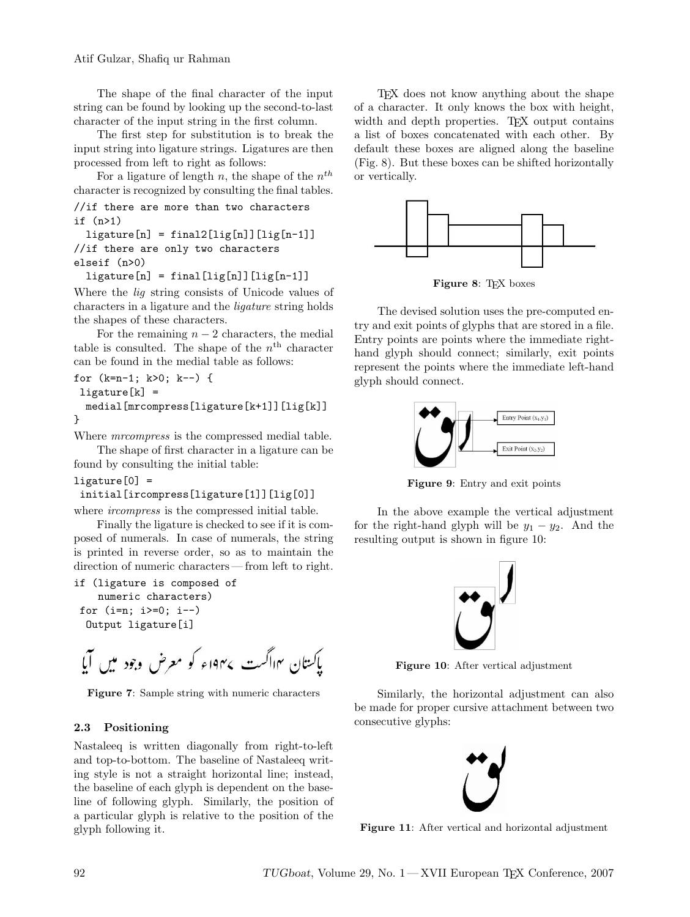Atif Gulzar, Shafiq ur Rahman

The shape of the final character of the input string can be found by looking up the second-to-last character of the input string in the first column.

The first step for substitution is to break the input string into ligature strings. Ligatures are then processed from left to right as follows:

For a ligature of length n, the shape of the  $n^{th}$ character is recognized by consulting the final tables.

```
//if there are more than two characters
if (n>1)
```

```
ligature[n] = final2[lig[n]][lig[n-1]]//if there are only two characters
elseif (n>0)
```
 $ligature[n] = final[lig[n]][lig[n-1]]$ 

Where the lig string consists of Unicode values of characters in a ligature and the ligature string holds the shapes of these characters.

For the remaining  $n-2$  characters, the medial table is consulted. The shape of the  $n<sup>th</sup>$  character can be found in the medial table as follows:

```
for (k=n-1; k>0; k--) {
ligature[k] =
 medial[mrcompress[ligature[k+1]][lig[k]]
```

```
}
```
Where *mrcompress* is the compressed medial table.

The shape of first character in a ligature can be found by consulting the initial table:

```
ligature[0] =
```
## initial[ircompress[ligature[1]][lig[0]]

where *ircompress* is the compressed initial table.

Finally the ligature is checked to see if it is composed of numerals. In case of numerals, the string is printed in reverse order, so as to maintain the direction of numeric characters — from left to right.

```
if (ligature is composed of
   numeric characters)
for (i=n; i>=0; i--)Output ligature[i]
```
Figure 7: Sample string with numeric characters

# 2.3 Positioning

Nastaleeq is written diagonally from right-to-left and top-to-bottom. The baseline of Nastaleeq writing style is not a straight horizontal line; instead, the baseline of each glyph is dependent on the baseline of following glyph. Similarly, the position of a particular glyph is relative to the position of the glyph following it.

TEX does not know anything about the shape of a character. It only knows the box with height, width and depth properties. TEX output contains a list of boxes concatenated with each other. By default these boxes are aligned along the baseline (Fig. 8). But these boxes can be shifted horizontally or vertically.



Figure 8: T<sub>F</sub>X boxes

The devised solution uses the pre-computed entry and exit points of glyphs that are stored in a file. Entry points are points where the immediate righthand glyph should connect; similarly, exit points represent the points where the immediate left-hand glyph should connect.



Figure 9: Entry and exit points

In the above example the vertical adjustment for the right-hand glyph will be  $y_1 - y_2$ . And the resulting output is shown in figure 10:



Figure 10: After vertical adjustment

Similarly, the horizontal adjustment can also be made for proper cursive attachment between two consecutive glyphs:



Figure 11: After vertical and horizontal adjustment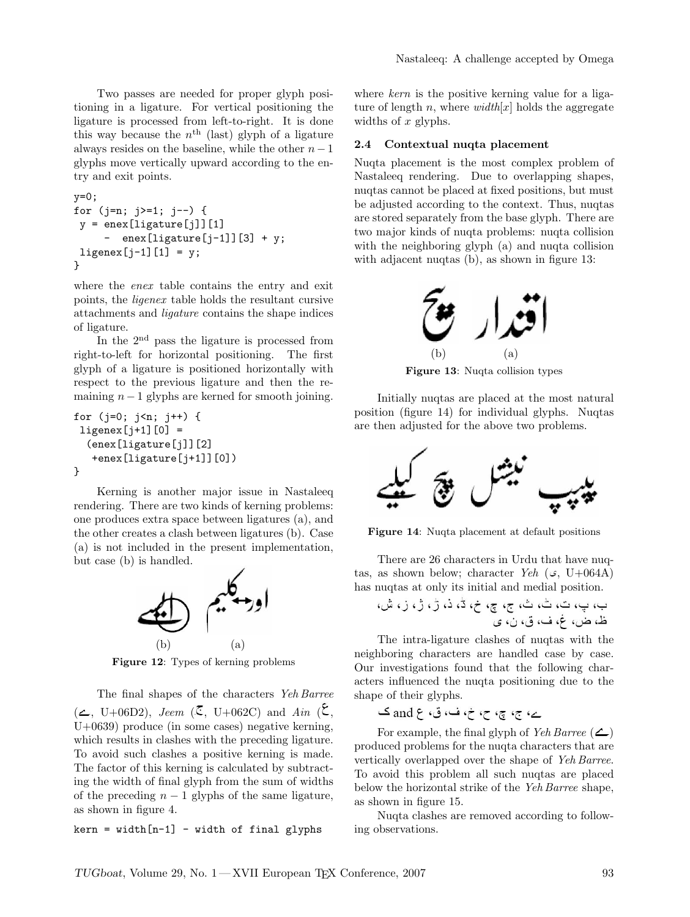Two passes are needed for proper glyph positioning in a ligature. For vertical positioning the ligature is processed from left-to-right. It is done this way because the  $n<sup>th</sup>$  (last) glyph of a ligature always resides on the baseline, while the other  $n-1$ glyphs move vertically upward according to the entry and exit points.

```
y=0;
for (j=n; j>=1; j--) {
y =enex[ligature[j]][1]
     - enex[ligature[j-1]][3] + y;
ligenex[j-1][1] = y;}
```
where the *enex* table contains the entry and exit points, the ligenex table holds the resultant cursive attachments and ligature contains the shape indices of ligature.

In the 2<sup>nd</sup> pass the ligature is processed from right-to-left for horizontal positioning. The first glyph of a ligature is positioned horizontally with respect to the previous ligature and then the remaining  $n-1$  glyphs are kerned for smooth joining.

```
for (j=0; j<n; j++) {
ligenex[j+1][0] =(enex[ligature[j]][2]
   +enex[ligature[j+1]][0])
}
```
Kerning is another major issue in Nastaleeq rendering. There are two kinds of kerning problems: one produces extra space between ligatures (a), and the other creates a clash between ligatures (b). Case (a) is not included in the present implementation, but case (b) is handled.



Figure 12: Types of kerning problems

The final shapes of the characters Yeh Barree  $(\angle, U+06D2), \text{ Jean } (\mathbb{C}, U+062C) \text{ and } \text{Ain } (\mathbb{C},$ U+0639) produce (in some cases) negative kerning, which results in clashes with the preceding ligature. To avoid such clashes a positive kerning is made. The factor of this kerning is calculated by subtracting the width of final glyph from the sum of widths of the preceding  $n - 1$  glyphs of the same ligature, as shown in figure 4.

 $kern = width[n-1] - width of final glyphs$ 

where kern is the positive kerning value for a ligature of length n, where  $width[x]$  holds the aggregate widths of x glyphs.

#### 2.4 Contextual nuqta placement

Nuqta placement is the most complex problem of Nastaleeq rendering. Due to overlapping shapes, nuqtas cannot be placed at fixed positions, but must be adjusted according to the context. Thus, nuqtas are stored separately from the base glyph. There are two major kinds of nuqta problems: nuqta collision with the neighboring glyph (a) and nuqta collision with adjacent nuqtas (b), as shown in figure 13:



Figure 13: Nuqta collision types

Initially nuqtas are placed at the most natural position (figure 14) for individual glyphs. Nuqtas are then adjusted for the above two problems.



Figure 14: Nuqta placement at default positions

There are 26 characters in Urdu that have nuqtas, as shown below; character Yeh  $(\mathcal{G}, U+064A)$ has nuqtas at only its initial and medial position.

The intra-ligature clashes of nuqtas with the neighboring characters are handled case by case. Our investigations found that the following characters influenced the nuqta positioning due to the shape of their glyphs.

For example, the final glyph of Yeh Barree  $(\triangle)$ produced problems for the nuqta characters that are vertically overlapped over the shape of Yeh Barree. To avoid this problem all such nuqtas are placed below the horizontal strike of the Yeh Barree shape, as shown in figure 15.

Nuqta clashes are removed according to following observations.